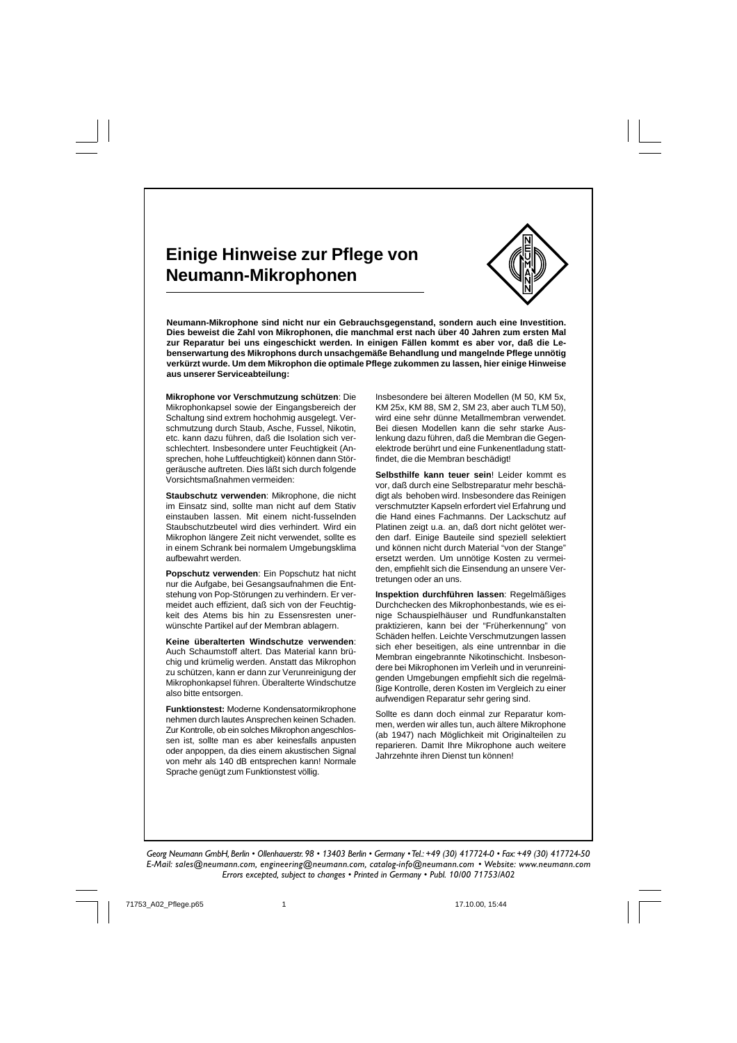## **Einige Hinweise zur Pflege von Neumann-Mikrophonen**



**Neumann-Mikrophone sind nicht nur ein Gebrauchsgegenstand, sondern auch eine Investition. Dies beweist die Zahl von Mikrophonen, die manchmal erst nach über 40 Jahren zum ersten Mal zur Reparatur bei uns eingeschickt werden. In einigen Fällen kommt es aber vor, daß die Lebenserwartung des Mikrophons durch unsachgemäße Behandlung und mangelnde Pflege unnötig verkürzt wurde. Um dem Mikrophon die optimale Pflege zukommen zu lassen, hier einige Hinweise aus unserer Serviceabteilung:**

**Mikrophone vor Verschmutzung schützen**: Die Mikrophonkapsel sowie der Eingangsbereich der Schaltung sind extrem hochohmig ausgelegt. Verschmutzung durch Staub, Asche, Fussel, Nikotin, etc. kann dazu führen, daß die Isolation sich verschlechtert. Insbesondere unter Feuchtigkeit (Ansprechen, hohe Luftfeuchtigkeit) können dann Störgeräusche auftreten. Dies läßt sich durch folgende Vorsichtsmaßnahmen vermeiden:

**Staubschutz verwenden**: Mikrophone, die nicht im Einsatz sind, sollte man nicht auf dem Stativ einstauben lassen. Mit einem nicht-fusselnden Staubschutzbeutel wird dies verhindert. Wird ein Mikrophon längere Zeit nicht verwendet, sollte es in einem Schrank bei normalem Umgebungsklima aufbewahrt werden.

**Popschutz verwenden**: Ein Popschutz hat nicht nur die Aufgabe, bei Gesangsaufnahmen die Entstehung von Pop-Störungen zu verhindern. Er vermeidet auch effizient, daß sich von der Feuchtigkeit des Atems bis hin zu Essensresten unerwünschte Partikel auf der Membran ablagern.

**Keine überalterten Windschutze verwenden**: Auch Schaumstoff altert. Das Material kann brüchig und krümelig werden. Anstatt das Mikrophon zu schützen, kann er dann zur Verunreinigung der Mikrophonkapsel führen. Überalterte Windschutze also bitte entsorgen.

**Funktionstest:** Moderne Kondensatormikrophone nehmen durch lautes Ansprechen keinen Schaden. Zur Kontrolle, ob ein solches Mikrophon angeschlossen ist, sollte man es aber keinesfalls anpusten oder anpoppen, da dies einem akustischen Signal von mehr als 140 dB entsprechen kann! Normale Sprache genügt zum Funktionstest völlig.

Insbesondere bei älteren Modellen (M 50, KM 5x, KM 25x, KM 88, SM 2, SM 23, aber auch TLM 50), wird eine sehr dünne Metallmembran verwendet. Bei diesen Modellen kann die sehr starke Auslenkung dazu führen, daß die Membran die Gegenelektrode berührt und eine Funkenentladung stattfindet, die die Membran beschädigt!

**Selbsthilfe kann teuer sein**! Leider kommt es vor, daß durch eine Selbstreparatur mehr beschädigt als behoben wird. Insbesondere das Reinigen verschmutzter Kapseln erfordert viel Erfahrung und die Hand eines Fachmanns. Der Lackschutz auf Platinen zeigt u.a. an, daß dort nicht gelötet werden darf. Einige Bauteile sind speziell selektiert und können nicht durch Material "von der Stange" ersetzt werden. Um unnötige Kosten zu vermeiden, empfiehlt sich die Einsendung an unsere Vertretungen oder an uns.

**Inspektion durchführen lassen**: Regelmäßiges Durchchecken des Mikrophonbestands, wie es einige Schauspielhäuser und Rundfunkanstalten praktizieren, kann bei der "Früherkennung" von Schäden helfen. Leichte Verschmutzungen lassen sich eher beseitigen, als eine untrennbar in die Membran eingebrannte Nikotinschicht. Insbesondere bei Mikrophonen im Verleih und in verunreinigenden Umgebungen empfiehlt sich die regelmäßige Kontrolle, deren Kosten im Vergleich zu einer aufwendigen Reparatur sehr gering sind.

Sollte es dann doch einmal zur Reparatur kommen, werden wir alles tun, auch ältere Mikrophone (ab 1947) nach Möglichkeit mit Originalteilen zu reparieren. Damit Ihre Mikrophone auch weitere Jahrzehnte ihren Dienst tun können!

*Georg Neumann GmbH, Berlin • Ollenhauerstr. 98 • 13403 Berlin • Germany • Tel.: +49 (30) 417724-0 • Fax: +49 (30) 417724-50 E-Mail: sales@neumann.com, engineering@neumann.com, catalog-info@neumann.com • Website: www.neumann.com Errors excepted, subject to changes • Printed in Germany • Publ. 10/00 71753/A02*

71753\_A02\_Pflege.p65 1 17.10.00, 15:44